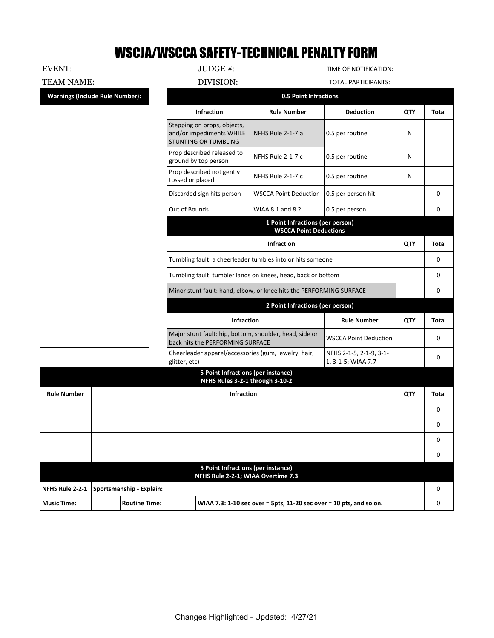## WSCJA/WSCCA SAFETY-TECHNICAL PENALTY FORM

EVENT: JUDGE #:  $JUDGE$  #:  $TIME OF NOTIFICATION:$ 

TEAM NAME: DIVISION: DIVISION: TOTAL PARTICIPANTS:

| <b>Infraction</b><br><b>Rule Number</b><br><b>Deduction</b><br>QTY<br>Stepping on props, objects,<br>and/or impediments WHILE<br>0.5 per routine<br>NFHS Rule 2-1-7.a<br>N<br><b>STUNTING OR TUMBLING</b><br>Prop described released to<br>0.5 per routine<br>NFHS Rule 2-1-7.c<br>N<br>ground by top person<br>Prop described not gently<br>NFHS Rule 2-1-7.c<br>0.5 per routine<br>N<br>tossed or placed<br>Discarded sign hits person<br><b>WSCCA Point Deduction</b><br>0.5 per person hit<br>0<br>Out of Bounds<br>WIAA 8.1 and 8.2<br>0.5 per person<br>0<br>1 Point Infractions (per person)<br><b>WSCCA Point Deductions</b><br><b>Infraction</b><br>QTY | <b>Warnings (Include Rule Number):</b> | <b>0.5 Point Infractions</b> |  |              |
|------------------------------------------------------------------------------------------------------------------------------------------------------------------------------------------------------------------------------------------------------------------------------------------------------------------------------------------------------------------------------------------------------------------------------------------------------------------------------------------------------------------------------------------------------------------------------------------------------------------------------------------------------------------|----------------------------------------|------------------------------|--|--------------|
|                                                                                                                                                                                                                                                                                                                                                                                                                                                                                                                                                                                                                                                                  |                                        |                              |  | <b>Total</b> |
|                                                                                                                                                                                                                                                                                                                                                                                                                                                                                                                                                                                                                                                                  |                                        |                              |  |              |
|                                                                                                                                                                                                                                                                                                                                                                                                                                                                                                                                                                                                                                                                  |                                        |                              |  |              |
|                                                                                                                                                                                                                                                                                                                                                                                                                                                                                                                                                                                                                                                                  |                                        |                              |  |              |
|                                                                                                                                                                                                                                                                                                                                                                                                                                                                                                                                                                                                                                                                  |                                        |                              |  |              |
|                                                                                                                                                                                                                                                                                                                                                                                                                                                                                                                                                                                                                                                                  |                                        |                              |  |              |
|                                                                                                                                                                                                                                                                                                                                                                                                                                                                                                                                                                                                                                                                  |                                        |                              |  |              |
|                                                                                                                                                                                                                                                                                                                                                                                                                                                                                                                                                                                                                                                                  |                                        |                              |  | <b>Total</b> |
| Tumbling fault: a cheerleader tumbles into or hits someone                                                                                                                                                                                                                                                                                                                                                                                                                                                                                                                                                                                                       |                                        |                              |  | 0            |
| Tumbling fault: tumbler lands on knees, head, back or bottom<br>0                                                                                                                                                                                                                                                                                                                                                                                                                                                                                                                                                                                                |                                        |                              |  |              |
| Minor stunt fault: hand, elbow, or knee hits the PERFORMING SURFACE<br>0                                                                                                                                                                                                                                                                                                                                                                                                                                                                                                                                                                                         |                                        |                              |  |              |
| 2 Point Infractions (per person)                                                                                                                                                                                                                                                                                                                                                                                                                                                                                                                                                                                                                                 |                                        |                              |  |              |
| <b>Infraction</b><br>QTY<br><b>Rule Number</b>                                                                                                                                                                                                                                                                                                                                                                                                                                                                                                                                                                                                                   |                                        |                              |  | <b>Total</b> |
| Major stunt fault: hip, bottom, shoulder, head, side or<br><b>WSCCA Point Deduction</b><br>$\mathbf{0}$<br>back hits the PERFORMING SURFACE                                                                                                                                                                                                                                                                                                                                                                                                                                                                                                                      |                                        |                              |  |              |
| Cheerleader apparel/accessories (gum, jewelry, hair,<br>NFHS 2-1-5, 2-1-9, 3-1-<br>0<br>glitter, etc)<br>1, 3-1-5; WIAA 7.7                                                                                                                                                                                                                                                                                                                                                                                                                                                                                                                                      |                                        |                              |  |              |
| 5 Point Infractions (per instance)<br>NFHS Rules 3-2-1 through 3-10-2<br>$\sim$ $\sim$ $\sim$                                                                                                                                                                                                                                                                                                                                                                                                                                                                                                                                                                    |                                        |                              |  |              |

|                    |                                          | NFHS RUIES 3-Z-I through 3-10-Z                                          |     |          |
|--------------------|------------------------------------------|--------------------------------------------------------------------------|-----|----------|
| <b>Rule Number</b> |                                          | <b>Infraction</b>                                                        | QTY | Total    |
|                    |                                          |                                                                          |     | $\Omega$ |
|                    |                                          |                                                                          |     | 0        |
|                    |                                          |                                                                          |     | 0        |
|                    |                                          |                                                                          |     | 0        |
|                    |                                          | 5 Point Infractions (per instance)<br>NFHS Rule 2-2-1; WIAA Overtime 7.3 |     |          |
|                    | NFHS Rule 2-2-1 Sportsmanship - Explain: |                                                                          |     | 0        |
| <b>Music Time:</b> | <b>Routine Time:</b>                     | WIAA 7.3: 1-10 sec over = 5pts, 11-20 sec over = 10 pts, and so on.      |     | C        |